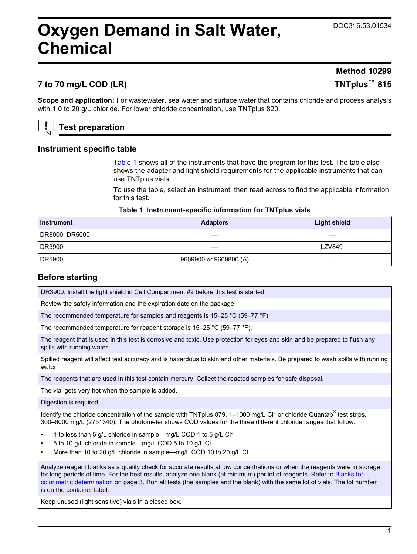# <span id="page-0-0"></span>**Oxygen Demand in Salt Water, Chemical**

# **Method 10299**

# **7 to 70 mg/L COD (LR) TNTplus™ 815**

**Scope and application:** For wastewater, sea water and surface water that contains chloride and process analysis with 1.0 to 20 g/L chloride. For lower chloride concentration, use TNTplus 820.

# **Test preparation**

#### **Instrument specific table**

Table 1 shows all of the instruments that have the program for this test. The table also shows the adapter and light shield requirements for the applicable instruments that can use TNTplus vials.

To use the table, select an instrument, then read across to find the applicable information for this test.

#### **Table 1 Instrument-specific information for TNTplus vials**

| <b>Instrument</b> | <b>Adapters</b>        | <b>Light shield</b> |
|-------------------|------------------------|---------------------|
| DR6000, DR5000    |                        |                     |
| DR3900            |                        | <b>LZV849</b>       |
| DR1900            | 9609900 or 9609800 (A) |                     |

#### **Before starting**

DR3900: Install the light shield in Cell Compartment #2 before this test is started.

Review the safety information and the expiration date on the package.

The recommended temperature for samples and reagents is 15–25 °C (59–77 °F).

The recommended temperature for reagent storage is 15–25 °C (59–77 °F).

The reagent that is used in this test is corrosive and toxic. Use protection for eyes and skin and be prepared to flush any spills with running water.

Spilled reagent will affect test accuracy and is hazardous to skin and other materials. Be prepared to wash spills with running water.

The reagents that are used in this test contain mercury. Collect the reacted samples for safe disposal.

The vial gets very hot when the sample is added.

Digestion is required.

Identify the chloride concentration of the sample with TNTplus 879, 1–1000 mg/L Cl<sup>-</sup> or chloride Quantab<sup>®</sup> test strips, 300–6000 mg/L (2751340). The photometer shows COD values for the three different chloride ranges that follow:

- 1 to less than 5 g/L chloride in sample—mg/L COD 1 to 5 g/L Cl-
- 5 to 10 g/L chloride in sample—mg/L COD 5 to 10 g/L Cl-
- More than 10 to 20 g/L chloride in sample—mg/L COD 10 to 20 g/L Cl-

Analyze reagent blanks as a quality check for accurate results at low concentrations or when the reagents were in storage for long periods of time. For the best results, analyze one blank (at minimum) per lot of reagents. Refer to [Blanks for](#page-2-0) [colorimetric determination](#page-2-0) on page 3. Run all tests (the samples and the blank) with the same lot of vials. The lot number is on the container label.

Keep unused (light sensitive) vials in a closed box.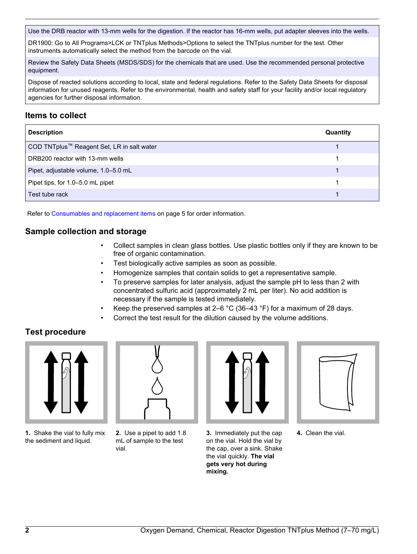Use the DRB reactor with 13-mm wells for the digestion. If the reactor has 16-mm wells, put adapter sleeves into the wells.

DR1900: Go to All Programs>LCK or TNTplus Methods>Options to select the TNTplus number for the test. Other instruments automatically select the method from the barcode on the vial.

Review the Safety Data Sheets (MSDS/SDS) for the chemicals that are used. Use the recommended personal protective equipment.

Dispose of reacted solutions according to local, state and federal regulations. Refer to the Safety Data Sheets for disposal information for unused reagents. Refer to the environmental, health and safety staff for your facility and/or local regulatory agencies for further disposal information.

# **Items to collect**

| <b>Description</b>                                     | Quantity |
|--------------------------------------------------------|----------|
| COD TNTplus <sup>™</sup> Reagent Set, LR in salt water |          |
| DRB200 reactor with 13-mm wells                        |          |
| Pipet, adjustable volume, 1.0-5.0 mL                   |          |
| Pipet tips, for 1.0-5.0 mL pipet                       |          |
| Test tube rack                                         |          |

Refer to [Consumables and replacement items](#page-4-0) on page 5 for order information.

### **Sample collection and storage**

- Collect samples in clean glass bottles. Use plastic bottles only if they are known to be free of organic contamination.
- Test biologically active samples as soon as possible.
- Homogenize samples that contain solids to get a representative sample.
- To preserve samples for later analysis, adjust the sample pH to less than 2 with concentrated sulfuric acid (approximately 2 mL per liter). No acid addition is necessary if the sample is tested immediately.
- Keep the preserved samples at 2–6  $^{\circ}$ C (36–43  $^{\circ}$ F) for a maximum of 28 days.
- Correct the test result for the dilution caused by the volume additions.

# **Test procedure**



**1.** Shake the vial to fully mix the sediment and liquid.



**2.** Use a pipet to add 1.8 mL of sample to the test vial.

**3.** Immediately put the cap on the vial. Hold the vial by the cap, over a sink. Shake the vial quickly. **The vial gets very hot during mixing.**



**4.** Clean the vial.

**2** Oxygen Demand, Chemical, Reactor Digestion TNTplus Method (7-70 mg/L)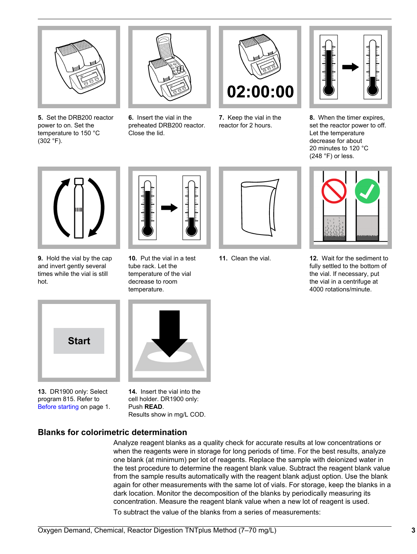<span id="page-2-0"></span>

**5.** Set the DRB200 reactor power to on. Set the temperature to 150 °C (302 °F).



**6.** Insert the vial in the preheated DRB200 reactor. Close the lid.



**7.** Keep the vial in the reactor for 2 hours.



**8.** When the timer expires, set the reactor power to off. Let the temperature decrease for about 20 minutes to 120 °C  $(248 \degree F)$  or less.



**9.** Hold the vial by the cap and invert gently several times while the vial is still hot.



**10.** Put the vial in a test tube rack. Let the temperature of the vial decrease to room temperature.





**11.** Clean the vial. **12.** Wait for the sediment to fully settled to the bottom of the vial. If necessary, put the vial in a centrifuge at 4000 rotations/minute.



**13.** DR1900 only: Select program 815. Refer to [Before starting](#page-0-0) on page 1.

**14.** Insert the vial into the cell holder. DR1900 only: Push **READ**. Results show in mg/L COD.

# **Blanks for colorimetric determination**

Analyze reagent blanks as a quality check for accurate results at low concentrations or when the reagents were in storage for long periods of time. For the best results, analyze one blank (at minimum) per lot of reagents. Replace the sample with deionized water in the test procedure to determine the reagent blank value. Subtract the reagent blank value from the sample results automatically with the reagent blank adjust option. Use the blank again for other measurements with the same lot of vials. For storage, keep the blanks in a dark location. Monitor the decomposition of the blanks by periodically measuring its concentration. Measure the reagent blank value when a new lot of reagent is used. To subtract the value of the blanks from a series of measurements: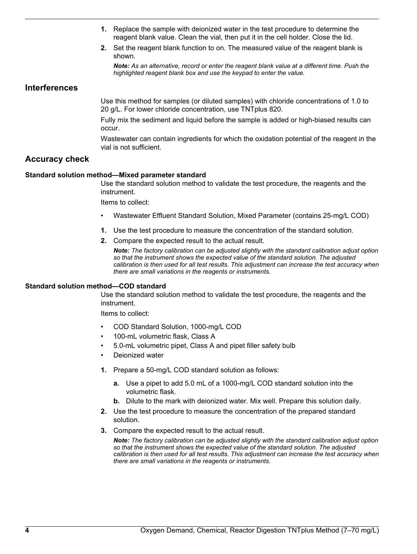- **1.** Replace the sample with deionized water in the test procedure to determine the reagent blank value. Clean the vial, then put it in the cell holder. Close the lid.
- **2.** Set the reagent blank function to on. The measured value of the reagent blank is shown.

*Note: As an alternative, record or enter the reagent blank value at a different time. Push the highlighted reagent blank box and use the keypad to enter the value.*

#### **Interferences**

Use this method for samples (or diluted samples) with chloride concentrations of 1.0 to 20 g/L. For lower chloride concentration, use TNTplus 820.

Fully mix the sediment and liquid before the sample is added or high-biased results can occur.

Wastewater can contain ingredients for which the oxidation potential of the reagent in the vial is not sufficient.

#### **Accuracy check**

#### **Standard solution method—Mixed parameter standard**

Use the standard solution method to validate the test procedure, the reagents and the instrument.

Items to collect:

- Wastewater Effluent Standard Solution, Mixed Parameter (contains 25-mg/L COD)
- **1.** Use the test procedure to measure the concentration of the standard solution.
- **2.** Compare the expected result to the actual result.

*Note: The factory calibration can be adjusted slightly with the standard calibration adjust option so that the instrument shows the expected value of the standard solution. The adjusted calibration is then used for all test results. This adjustment can increase the test accuracy when there are small variations in the reagents or instruments.*

#### **Standard solution method—COD standard**

Use the standard solution method to validate the test procedure, the reagents and the instrument.

Items to collect:

- COD Standard Solution, 1000-mg/L COD
- 100-mL volumetric flask, Class A
- 5.0-mL volumetric pipet, Class A and pipet filler safety bulb
- Deionized water
- **1.** Prepare a 50-mg/L COD standard solution as follows:
	- **a.** Use a pipet to add 5.0 mL of a 1000-mg/L COD standard solution into the volumetric flask.
	- **b.** Dilute to the mark with deionized water. Mix well. Prepare this solution daily.
- **2.** Use the test procedure to measure the concentration of the prepared standard solution.
- **3.** Compare the expected result to the actual result.

*Note: The factory calibration can be adjusted slightly with the standard calibration adjust option so that the instrument shows the expected value of the standard solution. The adjusted calibration is then used for all test results. This adjustment can increase the test accuracy when there are small variations in the reagents or instruments.*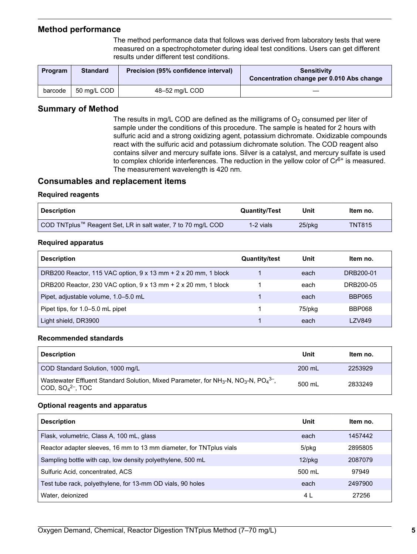#### <span id="page-4-0"></span>**Method performance**

The method performance data that follows was derived from laboratory tests that were measured on a spectrophotometer during ideal test conditions. Users can get different results under different test conditions.

| Program | <b>Standard</b> | Precision (95% confidence interval) | <b>Sensitivity</b><br>Concentration change per 0.010 Abs change |
|---------|-----------------|-------------------------------------|-----------------------------------------------------------------|
| barcode | 50 ma/L COD     | 48-52 mg/L COD                      |                                                                 |

#### **Summary of Method**

The results in mg/L COD are defined as the milligrams of  $O<sub>2</sub>$  consumed per liter of sample under the conditions of this procedure. The sample is heated for 2 hours with sulfuric acid and a strong oxidizing agent, potassium dichromate. Oxidizable compounds react with the sulfuric acid and potassium dichromate solution. The COD reagent also contains silver and mercury sulfate ions. Silver is a catalyst, and mercury sulfate is used to complex chloride interferences. The reduction in the yellow color of  $Cr<sup>6+</sup>$  is measured. The measurement wavelength is 420 nm.

#### **Consumables and replacement items**

#### **Required reagents**

| <b>Description</b>                                           | <b>Quantity/Test</b> | Unit   | Item no.      |
|--------------------------------------------------------------|----------------------|--------|---------------|
| COD TNTplus™ Reagent Set, LR in salt water, 7 to 70 mg/L COD | 1-2 vials            | 25/pkg | <b>TNT815</b> |

#### **Required apparatus**

| <b>Description</b>                                                           | <b>Quantity/test</b> | Unit   | Item no.      |
|------------------------------------------------------------------------------|----------------------|--------|---------------|
| DRB200 Reactor, 115 VAC option, $9 \times 13$ mm $+ 2 \times 20$ mm, 1 block |                      | each   | DRB200-01     |
| DRB200 Reactor, 230 VAC option, $9 \times 13$ mm $+ 2 \times 20$ mm, 1 block |                      | each   | DRB200-05     |
| Pipet, adjustable volume, 1.0-5.0 mL                                         |                      | each   | <b>BBP065</b> |
| Pipet tips, for 1.0-5.0 mL pipet                                             |                      | 75/pkg | BBP068        |
| Light shield, DR3900                                                         |                      | each   | I 7V849       |

#### **Recommended standards**

| <b>Description</b>                                                                                                                                              | Unit   | ltem no. |
|-----------------------------------------------------------------------------------------------------------------------------------------------------------------|--------|----------|
| COD Standard Solution, 1000 mg/L                                                                                                                                | 200 mL | 2253929  |
| Wastewater Effluent Standard Solution, Mixed Parameter, for NH <sub>3</sub> -N, NO <sub>3</sub> -N, PO <sub>4</sub> <sup>3-</sup> ,<br>COD, $SO_4{}^{2-}$ , TOC | 500 mL | 2833249  |

#### **Optional reagents and apparatus**

| <b>Description</b>                                                   | Unit      | Item no. |
|----------------------------------------------------------------------|-----------|----------|
| Flask, volumetric, Class A, 100 mL, glass                            | each      | 1457442  |
| Reactor adapter sleeves, 16 mm to 13 mm diameter, for TNT plus vials | 5/pkg     | 2895805  |
| Sampling bottle with cap, low density polyethylene, 500 mL           | $12$ /pkg | 2087079  |
| Sulfuric Acid, concentrated, ACS                                     | 500 mL    | 97949    |
| Test tube rack, polyethylene, for 13-mm OD vials, 90 holes           | each      | 2497900  |
| Water, deionized                                                     | 4 L       | 27256    |